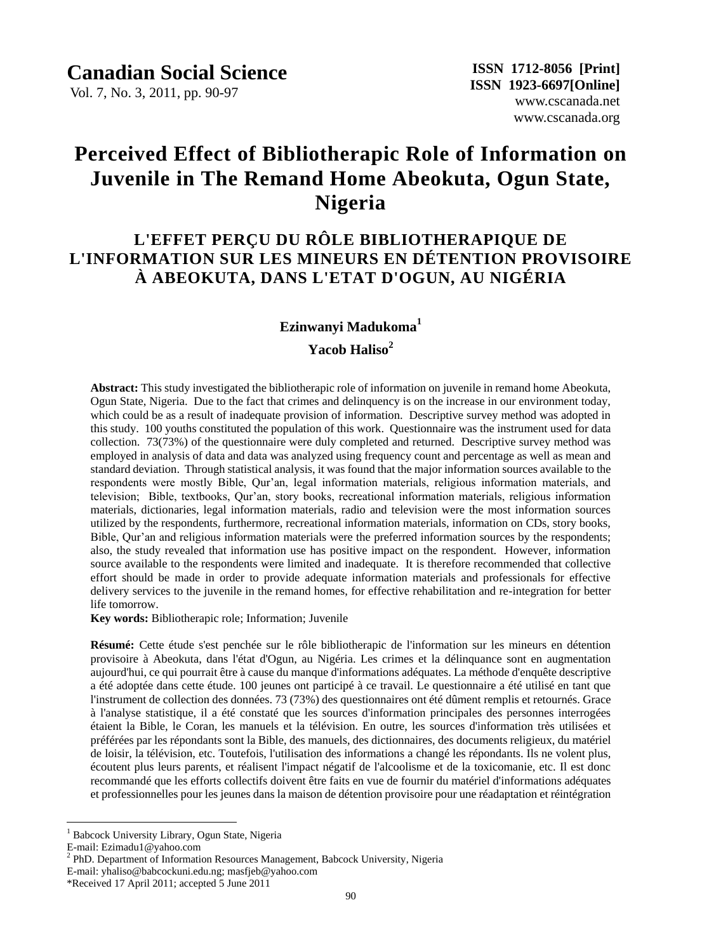Vol. 7, No. 3, 2011, pp. 90-97

# **Perceived Effect of Bibliotherapic Role of Information on Juvenile in The Remand Home Abeokuta, Ogun State, Nigeria**

# **L'EFFET PERÇU DU RÔLE BIBLIOTHERAPIQUE DE L'INFORMATION SUR LES MINEURS EN DÉTENTION PROVISOIRE À ABEOKUTA, DANS L'ETAT D'OGUN, AU NIGÉRIA**

### **Ezinwanyi Madukoma<sup>1</sup>**

### **Yacob Haliso<sup>2</sup>**

**Abstract:** This study investigated the bibliotherapic role of information on juvenile in remand home Abeokuta, Ogun State, Nigeria. Due to the fact that crimes and delinquency is on the increase in our environment today, which could be as a result of inadequate provision of information. Descriptive survey method was adopted in this study. 100 youths constituted the population of this work. Questionnaire was the instrument used for data collection. 73(73%) of the questionnaire were duly completed and returned. Descriptive survey method was employed in analysis of data and data was analyzed using frequency count and percentage as well as mean and standard deviation. Through statistical analysis, it was found that the major information sources available to the respondents were mostly Bible, Qur'an, legal information materials, religious information materials, and television; Bible, textbooks, Qur'an, story books, recreational information materials, religious information materials, dictionaries, legal information materials, radio and television were the most information sources utilized by the respondents, furthermore, recreational information materials, information on CDs, story books, Bible, Qur'an and religious information materials were the preferred information sources by the respondents; also, the study revealed that information use has positive impact on the respondent. However, information source available to the respondents were limited and inadequate. It is therefore recommended that collective effort should be made in order to provide adequate information materials and professionals for effective delivery services to the juvenile in the remand homes, for effective rehabilitation and re-integration for better life tomorrow.

**Key words:** Bibliotherapic role; Information; Juvenile

**Résumé:** Cette étude s'est penchée sur le rôle bibliotherapic de l'information sur les mineurs en détention provisoire à Abeokuta, dans l'état d'Ogun, au Nigéria. Les crimes et la délinquance sont en augmentation aujourd'hui, ce qui pourrait être à cause du manque d'informations adéquates. La méthode d'enquête descriptive a été adoptée dans cette étude. 100 jeunes ont participé à ce travail. Le questionnaire a été utiliséen tant que l'instrument de collection des donn ées. 73 (73%) des questionnaires ont été dûment remplis et retourn és. Grace à l'analyse statistique, il a été constaté que les sources d'information principales des personnes interrogées étaient la Bible, le Coran, les manuels et la télévision. En outre, les sources d'information très utilisées et préférées par les répondants sont la Bible, des manuels, des dictionnaires, des documents religieux, du matériel de loisir, la télévision, etc. Toutefois, l'utilisation des informations a changé les répondants. Ils ne volent plus, écoutent plus leurs parents, et réalisent l'impact négatif de l'alcoolisme et de la toxicomanie, etc. Il est donc recommandé que les efforts collectifs doivent être faits en vue de fournir du matériel d'informations adéquates et professionnelles pour les jeunes dans la maison de détention provisoire pour une réadaptation et réntégration

 $\overline{a}$ <sup>1</sup> Babcock University Library, Ogun State, Nigeria

E-mail: Ezimadu1@yahoo.com

<sup>&</sup>lt;sup>2</sup> PhD. Department of Information Resources Management, Babcock University, Nigeria

E-mail: yhaliso@babcockuni.edu.ng; masfjeb@yahoo.com

<sup>\*</sup>Received 17 April 2011; accepted 5 June 2011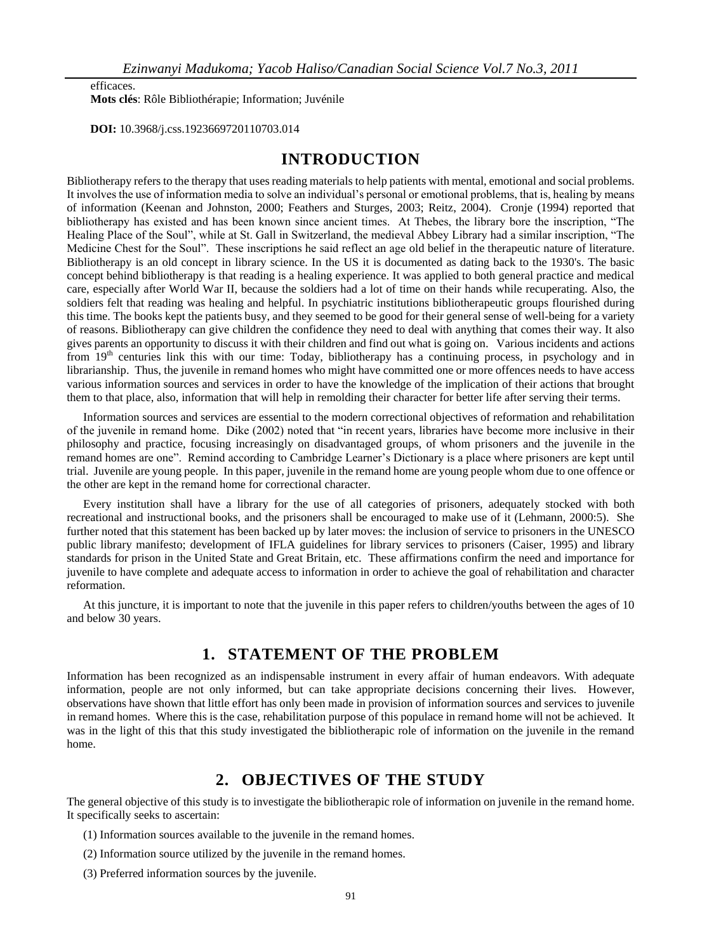efficaces.

**Mots clés**: Rôle Bibliothérapie; Information; Juvénile

 **DOI:** 10.3968/j.css.1923669720110703.014

# **INTRODUCTION**

Bibliotherapy refers to the therapy that uses reading materials to help patients with mental, emotional and social problems. It involves the use of information media to solve an individual's personal or emotional problems, that is, healing by means of information (Keenan and Johnston, 2000; Feathers and Sturges, 2003; Reitz, 2004). Cronje (1994) reported that bibliotherapy has existed and has been known since ancient times. At Thebes, the library bore the inscription, "The Healing Place of the Soul", while at St. Gall in Switzerland, the medieval Abbey Library had a similar inscription, "The Medicine Chest for the Soul". These inscriptions he said reflect an age old belief in the therapeutic nature of literature. Bibliotherapy is an old concept in library science. In the US it is documented as dating back to the 1930's. The basic concept behind bibliotherapy is that reading is a healing experience. It was applied to both general practice and medical care, especially after World War II, because the soldiers had a lot of time on their hands while recuperating. Also, the soldiers felt that reading was healing and helpful. In psychiatric institutions bibliotherapeutic groups flourished during this time. The books kept the patients busy, and they seemed to be good for their general sense of well-being for a variety of reasons. Bibliotherapy can give children the confidence they need to deal with anything that comes their way. It also gives parents an opportunity to discuss it with their children and find out what is going on. Various incidents and actions from 19<sup>th</sup> centuries link this with our time: Today, bibliotherapy has a continuing process, in psychology and in librarianship. Thus, the juvenile in remand homes who might have committed one or more offences needs to have access various information sources and services in order to have the knowledge of the implication of their actions that brought them to that place, also, information that will help in remolding their character for better life after serving their terms.

Information sources and services are essential to the modern correctional objectives of reformation and rehabilitation of the juvenile in remand home. Dike (2002) noted that "in recent years, libraries have become more inclusive in their philosophy and practice, focusing increasingly on disadvantaged groups, of whom prisoners and the juvenile in the remand homes are one". Remind according to Cambridge Learner's Dictionary is a place where prisoners are kept until trial. Juvenile are young people. In this paper, juvenile in the remand home are young people whom due to one offence or the other are kept in the remand home for correctional character.

Every institution shall have a library for the use of all categories of prisoners, adequately stocked with both recreational and instructional books, and the prisoners shall be encouraged to make use of it (Lehmann, 2000:5). She further noted that this statement has been backed up by later moves: the inclusion of service to prisoners in the UNESCO public library manifesto; development of IFLA guidelines for library services to prisoners (Caiser, 1995) and library standards for prison in the United State and Great Britain, etc. These affirmations confirm the need and importance for juvenile to have complete and adequate access to information in order to achieve the goal of rehabilitation and character reformation.

At this juncture, it is important to note that the juvenile in this paper refers to children/youths between the ages of 10 and below 30 years.

# **1. STATEMENT OF THE PROBLEM**

Information has been recognized as an indispensable instrument in every affair of human endeavors. With adequate information, people are not only informed, but can take appropriate decisions concerning their lives. However, observations have shown that little effort has only been made in provision of information sources and services to juvenile in remand homes. Where this is the case, rehabilitation purpose of this populace in remand home will not be achieved. It was in the light of this that this study investigated the bibliotherapic role of information on the juvenile in the remand home.

### **2. OBJECTIVES OF THE STUDY**

The general objective of this study is to investigate the bibliotherapic role of information on juvenile in the remand home. It specifically seeks to ascertain:

- (1) Information sources available to the juvenile in the remand homes.
- (2) Information source utilized by the juvenile in the remand homes.
- (3) Preferred information sources by the juvenile.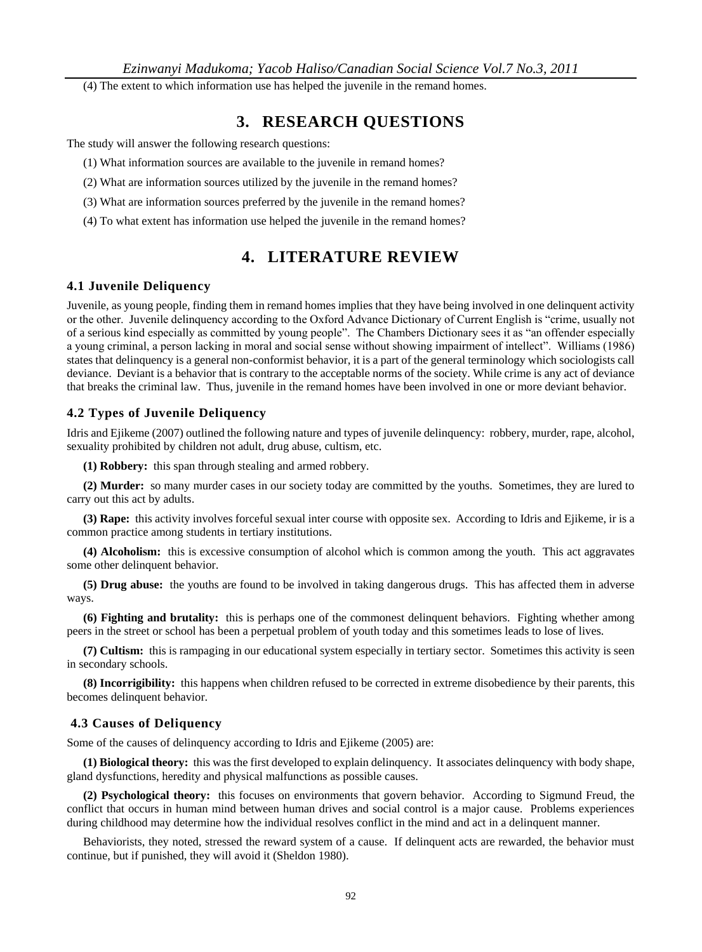(4) The extent to which information use has helped the juvenile in the remand homes.

# **3. RESEARCH QUESTIONS**

The study will answer the following research questions:

- (1) What information sources are available to the juvenile in remand homes?
- (2) What are information sources utilized by the juvenile in the remand homes?
- (3) What are information sources preferred by the juvenile in the remand homes?
- (4) To what extent has information use helped the juvenile in the remand homes?

# **4. LITERATURE REVIEW**

#### **4.1 Juvenile Deliquency**

Juvenile, as young people, finding them in remand homes implies that they have being involved in one delinquent activity or the other. Juvenile delinquency according to the Oxford Advance Dictionary of Current English is "crime, usually not of a serious kind especially as committed by young people". The Chambers Dictionary sees it as "an offender especially a young criminal, a person lacking in moral and social sense without showing impairment of intellect". Williams (1986) states that delinquency is a general non-conformist behavior, it is a part of the general terminology which sociologists call deviance. Deviant is a behavior that is contrary to the acceptable norms of the society. While crime is any act of deviance that breaks the criminal law. Thus, juvenile in the remand homes have been involved in one or more deviant behavior.

#### **4.2 Types of Juvenile Deliquency**

Idris and Ejikeme (2007) outlined the following nature and types of juvenile delinquency: robbery, murder, rape, alcohol, sexuality prohibited by children not adult, drug abuse, cultism, etc.

**(1) Robbery:** this span through stealing and armed robbery.

**(2) Murder:** so many murder cases in our society today are committed by the youths. Sometimes, they are lured to carry out this act by adults.

**(3) Rape:** this activity involves forceful sexual inter course with opposite sex. According to Idris and Ejikeme, ir is a common practice among students in tertiary institutions.

**(4) Alcoholism:** this is excessive consumption of alcohol which is common among the youth. This act aggravates some other delinquent behavior.

**(5) Drug abuse:** the youths are found to be involved in taking dangerous drugs. This has affected them in adverse ways.

**(6) Fighting and brutality:** this is perhaps one of the commonest delinquent behaviors. Fighting whether among peers in the street or school has been a perpetual problem of youth today and this sometimes leads to lose of lives.

**(7) Cultism:** this is rampaging in our educational system especially in tertiary sector. Sometimes this activity is seen in secondary schools.

**(8) Incorrigibility:** this happens when children refused to be corrected in extreme disobedience by their parents, this becomes delinquent behavior.

#### **4.3 Causes of Deliquency**

Some of the causes of delinquency according to Idris and Ejikeme (2005) are:

**(1) Biological theory:** this was the first developed to explain delinquency. It associates delinquency with body shape, gland dysfunctions, heredity and physical malfunctions as possible causes.

**(2) Psychological theory:** this focuses on environments that govern behavior. According to Sigmund Freud, the conflict that occurs in human mind between human drives and social control is a major cause. Problems experiences during childhood may determine how the individual resolves conflict in the mind and act in a delinquent manner.

Behaviorists, they noted, stressed the reward system of a cause. If delinquent acts are rewarded, the behavior must continue, but if punished, they will avoid it (Sheldon 1980).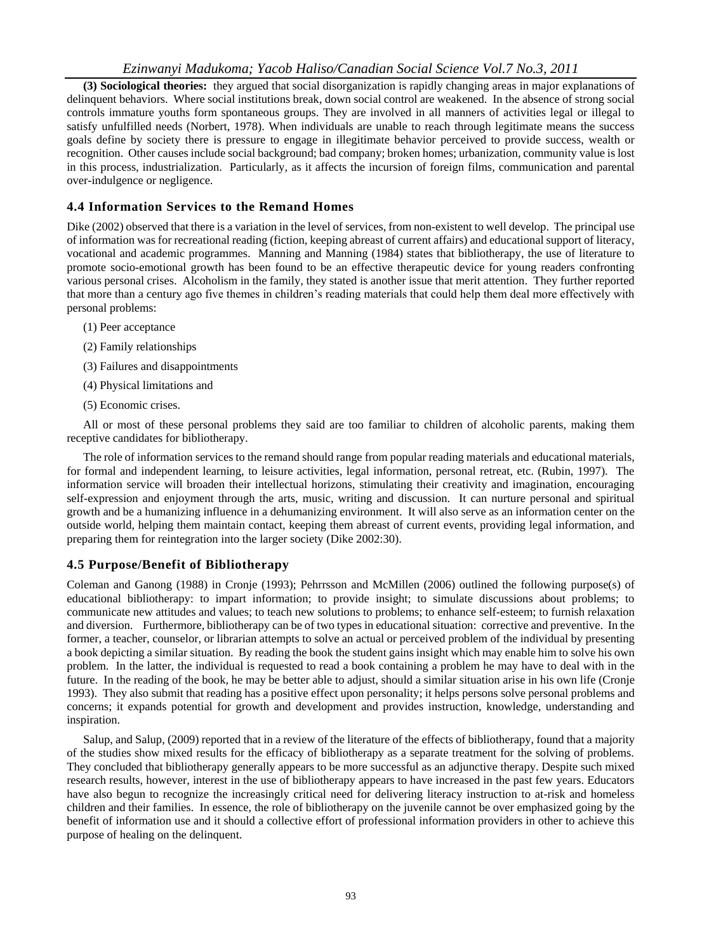#### *Ezinwanyi Madukoma; Yacob Haliso/Canadian Social Science Vol.7 No.3, 2011*

**(3) Sociological theories:** they argued that social disorganization is rapidly changing areas in major explanations of delinquent behaviors. Where social institutions break, down social control are weakened. In the absence of strong social controls immature youths form spontaneous groups. They are involved in all manners of activities legal or illegal to satisfy unfulfilled needs (Norbert, 1978). When individuals are unable to reach through legitimate means the success goals define by society there is pressure to engage in illegitimate behavior perceived to provide success, wealth or recognition. Other causes include social background; bad company; broken homes; urbanization, community value is lost in this process, industrialization. Particularly, as it affects the incursion of foreign films, communication and parental over-indulgence or negligence.

#### **4.4 Information Services to the Remand Homes**

Dike (2002) observed that there is a variation in the level of services, from non-existent to well develop. The principal use of information was for recreational reading (fiction, keeping abreast of current affairs) and educational support of literacy, vocational and academic programmes. Manning and Manning (1984) states that bibliotherapy, the use of literature to promote socio-emotional growth has been found to be an effective therapeutic device for young readers confronting various personal crises. Alcoholism in the family, they stated is another issue that merit attention. They further reported that more than a century ago five themes in children's reading materials that could help them deal more effectively with personal problems:

- (1) Peer acceptance
- (2) Family relationships
- (3) Failures and disappointments
- (4) Physical limitations and
- (5) Economic crises.

All or most of these personal problems they said are too familiar to children of alcoholic parents, making them receptive candidates for bibliotherapy.

The role of information services to the remand should range from popular reading materials and educational materials, for formal and independent learning, to leisure activities, legal information, personal retreat, etc. (Rubin, 1997). The information service will broaden their intellectual horizons, stimulating their creativity and imagination, encouraging self-expression and enjoyment through the arts, music, writing and discussion. It can nurture personal and spiritual growth and be a humanizing influence in a dehumanizing environment. It will also serve as an information center on the outside world, helping them maintain contact, keeping them abreast of current events, providing legal information, and preparing them for reintegration into the larger society (Dike 2002:30).

#### **4.5 Purpose/Benefit of Bibliotherapy**

Coleman and Ganong (1988) in Cronje (1993); Pehrrsson and McMillen (2006) outlined the following purpose(s) of educational bibliotherapy: to impart information; to provide insight; to simulate discussions about problems; to communicate new attitudes and values; to teach new solutions to problems; to enhance self-esteem; to furnish relaxation and diversion. Furthermore, bibliotherapy can be of two types in educational situation: corrective and preventive. In the former, a teacher, counselor, or librarian attempts to solve an actual or perceived problem of the individual by presenting a book depicting a similar situation. By reading the book the student gains insight which may enable him to solve his own problem. In the latter, the individual is requested to read a book containing a problem he may have to deal with in the future. In the reading of the book, he may be better able to adjust, should a similar situation arise in his own life (Cronje 1993). They also submit that reading has a positive effect upon personality; it helps persons solve personal problems and concerns; it expands potential for growth and development and provides instruction, knowledge, understanding and inspiration.

Salup, and Salup, (2009) reported that in a review of the literature of the effects of bibliotherapy, found that a majority of the studies show mixed results for the efficacy of bibliotherapy as a separate treatment for the solving of problems. They concluded that bibliotherapy generally appears to be more successful as an adjunctive therapy. Despite such mixed research results, however, interest in the use of bibliotherapy appears to have increased in the past few years. Educators have also begun to recognize the increasingly critical need for delivering literacy instruction to at-risk and homeless children and their families. In essence, the role of bibliotherapy on the juvenile cannot be over emphasized going by the benefit of information use and it should a collective effort of professional information providers in other to achieve this purpose of healing on the delinquent.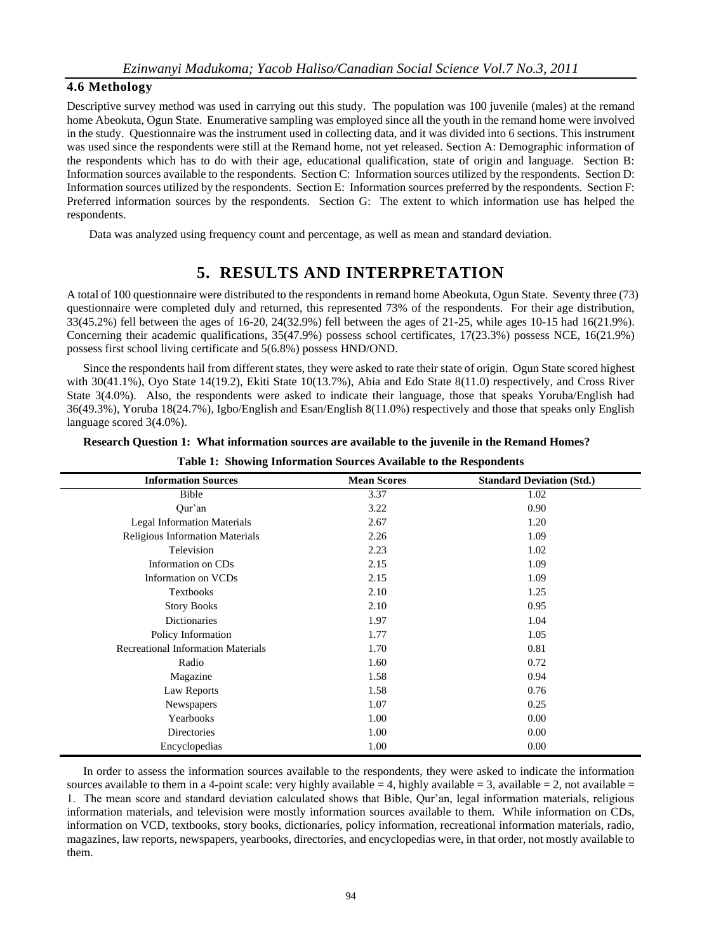#### **4.6 Methology**

Descriptive survey method was used in carrying out this study. The population was 100 juvenile (males) at the remand home Abeokuta, Ogun State. Enumerative sampling was employed since all the youth in the remand home were involved in the study. Questionnaire was the instrument used in collecting data, and it was divided into 6 sections. This instrument was used since the respondents were still at the Remand home, not yet released. Section A: Demographic information of the respondents which has to do with their age, educational qualification, state of origin and language. Section B: Information sources available to the respondents. Section C: Information sources utilized by the respondents. Section D: Information sources utilized by the respondents. Section E: Information sources preferred by the respondents. Section F: Preferred information sources by the respondents. Section G: The extent to which information use has helped the respondents.

Data was analyzed using frequency count and percentage, as well as mean and standard deviation.

# **5. RESULTS AND INTERPRETATION**

A total of 100 questionnaire were distributed to the respondents in remand home Abeokuta, Ogun State. Seventy three (73) questionnaire were completed duly and returned, this represented 73% of the respondents. For their age distribution, 33(45.2%) fell between the ages of 16-20, 24(32.9%) fell between the ages of 21-25, while ages 10-15 had 16(21.9%). Concerning their academic qualifications, 35(47.9%) possess school certificates, 17(23.3%) possess NCE, 16(21.9%) possess first school living certificate and 5(6.8%) possess HND/OND.

Since the respondents hail from different states, they were asked to rate their state of origin. Ogun State scored highest with 30(41.1%), Oyo State 14(19.2), Ekiti State 10(13.7%), Abia and Edo State 8(11.0) respectively, and Cross River State 3(4.0%). Also, the respondents were asked to indicate their language, those that speaks Yoruba/English had 36(49.3%), Yoruba 18(24.7%), Igbo/English and Esan/English 8(11.0%) respectively and those that speaks only English language scored 3(4.0%).

|  | Research Question 1: What information sources are available to the juvenile in the Remand Homes? |  |  |  |
|--|--------------------------------------------------------------------------------------------------|--|--|--|
|--|--------------------------------------------------------------------------------------------------|--|--|--|

| <b>Information Sources</b>                | <b>Mean Scores</b> | <b>Standard Deviation (Std.)</b> |
|-------------------------------------------|--------------------|----------------------------------|
| Bible                                     | 3.37               | 1.02                             |
| Qur'an                                    | 3.22               | 0.90                             |
| <b>Legal Information Materials</b>        | 2.67               | 1.20                             |
| <b>Religious Information Materials</b>    | 2.26               | 1.09                             |
| Television                                | 2.23               | 1.02                             |
| Information on CDs                        | 2.15               | 1.09                             |
| Information on VCDs                       | 2.15               | 1.09                             |
| <b>Textbooks</b>                          | 2.10               | 1.25                             |
| <b>Story Books</b>                        | 2.10               | 0.95                             |
| Dictionaries                              | 1.97               | 1.04                             |
| Policy Information                        | 1.77               | 1.05                             |
| <b>Recreational Information Materials</b> | 1.70               | 0.81                             |
| Radio                                     | 1.60               | 0.72                             |
| Magazine                                  | 1.58               | 0.94                             |
| Law Reports                               | 1.58               | 0.76                             |
| Newspapers                                | 1.07               | 0.25                             |
| Yearbooks                                 | 1.00               | 0.00                             |
| Directories                               | 1.00               | 0.00                             |
| Encyclopedias                             | 1.00               | 0.00                             |
|                                           |                    |                                  |

**Table 1: Showing Information Sources Available to the Respondents**

In order to assess the information sources available to the respondents, they were asked to indicate the information sources available to them in a 4-point scale: very highly available = 4, highly available = 3, available = 2, not available = 1. The mean score and standard deviation calculated shows that Bible, Qur'an, legal information materials, religious information materials, and television were mostly information sources available to them. While information on CDs, information on VCD, textbooks, story books, dictionaries, policy information, recreational information materials, radio, magazines, law reports, newspapers, yearbooks, directories, and encyclopedias were, in that order, not mostly available to them.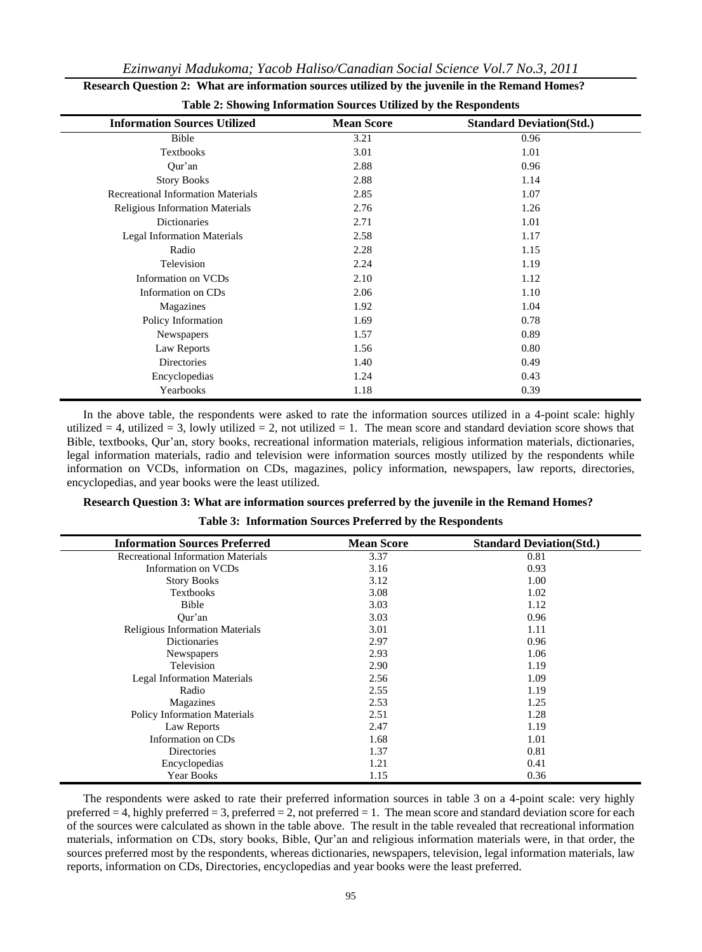| <b>Information Sources Utilized</b>       | <b>Mean Score</b> | <b>Standard Deviation(Std.)</b> |
|-------------------------------------------|-------------------|---------------------------------|
| Bible                                     | 3.21              | 0.96                            |
| Textbooks                                 | 3.01              | 1.01                            |
| Qur'an                                    | 2.88              | 0.96                            |
| <b>Story Books</b>                        | 2.88              | 1.14                            |
| <b>Recreational Information Materials</b> | 2.85              | 1.07                            |
| Religious Information Materials           | 2.76              | 1.26                            |
| <b>Dictionaries</b>                       | 2.71              | 1.01                            |
| <b>Legal Information Materials</b>        | 2.58              | 1.17                            |
| Radio                                     | 2.28              | 1.15                            |
| Television                                | 2.24              | 1.19                            |
| Information on VCDs                       | 2.10              | 1.12                            |
| Information on CDs                        | 2.06              | 1.10                            |
| Magazines                                 | 1.92              | 1.04                            |
| Policy Information                        | 1.69              | 0.78                            |
| Newspapers                                | 1.57              | 0.89                            |
| Law Reports                               | 1.56              | 0.80                            |
| Directories                               | 1.40              | 0.49                            |
| Encyclopedias                             | 1.24              | 0.43                            |
| Yearbooks                                 | 1.18              | 0.39                            |

| Research Question 2: What are information sources utilized by the juvenile in the Remand Homes? |
|-------------------------------------------------------------------------------------------------|
| <b>Table 2: Showing Information Sources Utilized by the Respondents</b>                         |

In the above table, the respondents were asked to rate the information sources utilized in a 4-point scale: highly utilized  $= 4$ , utilized  $= 3$ , lowly utilized  $= 2$ , not utilized  $= 1$ . The mean score and standard deviation score shows that Bible, textbooks, Qur'an, story books, recreational information materials, religious information materials, dictionaries, legal information materials, radio and television were information sources mostly utilized by the respondents while information on VCDs, information on CDs, magazines, policy information, newspapers, law reports, directories, encyclopedias, and year books were the least utilized.

| <b>Information Sources Preferred</b>      | <b>Mean Score</b> | <b>Standard Deviation(Std.)</b> |
|-------------------------------------------|-------------------|---------------------------------|
| <b>Recreational Information Materials</b> | 3.37              | 0.81                            |
| Information on VCDs                       | 3.16              | 0.93                            |
| <b>Story Books</b>                        | 3.12              | 1.00                            |
| <b>Textbooks</b>                          | 3.08              | 1.02                            |
| Bible                                     | 3.03              | 1.12                            |
| Our'an                                    | 3.03              | 0.96                            |
| <b>Religious Information Materials</b>    | 3.01              | 1.11                            |
| Dictionaries                              | 2.97              | 0.96                            |
| Newspapers                                | 2.93              | 1.06                            |
| Television                                | 2.90              | 1.19                            |
| <b>Legal Information Materials</b>        | 2.56              | 1.09                            |
| Radio                                     | 2.55              | 1.19                            |
| Magazines                                 | 2.53              | 1.25                            |
| <b>Policy Information Materials</b>       | 2.51              | 1.28                            |
| Law Reports                               | 2.47              | 1.19                            |
| Information on CDs                        | 1.68              | 1.01                            |
| Directories                               | 1.37              | 0.81                            |
| Encyclopedias                             | 1.21              | 0.41                            |
| Year Books                                | 1.15              | 0.36                            |

**Table 3: Information Sources Preferred by the Respondents**

The respondents were asked to rate their preferred information sources in table 3 on a 4-point scale: very highly preferred  $= 4$ , highly preferred  $= 3$ , preferred  $= 2$ , not preferred  $= 1$ . The mean score and standard deviation score for each of the sources were calculated as shown in the table above. The result in the table revealed that recreational information materials, information on CDs, story books, Bible, Qur'an and religious information materials were, in that order, the sources preferred most by the respondents, whereas dictionaries, newspapers, television, legal information materials, law reports, information on CDs, Directories, encyclopedias and year books were the least preferred.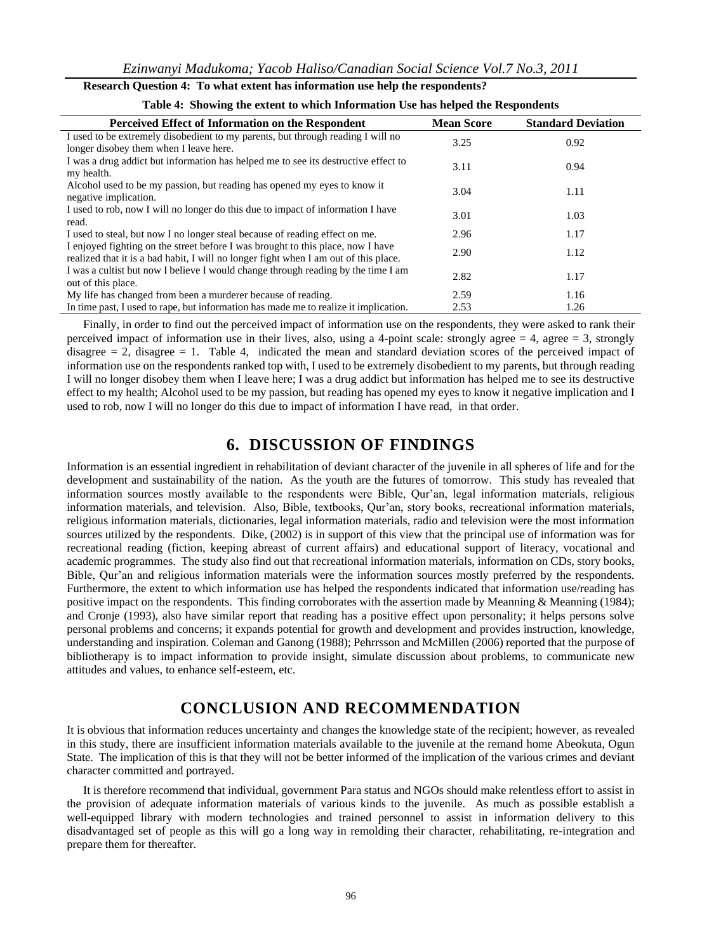| Research Question 4: To what extent has information use help the respondents? |  |  |  |
|-------------------------------------------------------------------------------|--|--|--|
|-------------------------------------------------------------------------------|--|--|--|

| Perceived Effect of Information on the Respondent                                    | <b>Mean Score</b> | <b>Standard Deviation</b> |
|--------------------------------------------------------------------------------------|-------------------|---------------------------|
| I used to be extremely disobedient to my parents, but through reading I will no      | 3.25              | 0.92                      |
| longer disobey them when I leave here.                                               |                   |                           |
| I was a drug addict but information has helped me to see its destructive effect to   | 3.11              | 0.94                      |
| my health.                                                                           |                   |                           |
| Alcohol used to be my passion, but reading has opened my eyes to know it             | 3.04              | 1.11                      |
| negative implication.                                                                |                   |                           |
| I used to rob, now I will no longer do this due to impact of information I have      | 3.01              | 1.03                      |
| read.                                                                                |                   |                           |
| I used to steal, but now I no longer steal because of reading effect on me.          | 2.96              | 1.17                      |
| I enjoyed fighting on the street before I was brought to this place, now I have      | 2.90              | 1.12                      |
| realized that it is a bad habit, I will no longer fight when I am out of this place. |                   |                           |
| I was a cultist but now I believe I would change through reading by the time I am    |                   |                           |
| out of this place.                                                                   | 2.82              | 1.17                      |
| My life has changed from been a murderer because of reading.                         | 2.59              | 1.16                      |
| In time past, I used to rape, but information has made me to realize it implication. | 2.53              | 1.26                      |

| Table 4: Showing the extent to which Information Use has helped the Respondents |  |
|---------------------------------------------------------------------------------|--|
|---------------------------------------------------------------------------------|--|

Finally, in order to find out the perceived impact of information use on the respondents, they were asked to rank their perceived impact of information use in their lives, also, using a 4-point scale: strongly agree  $= 4$ , agree  $= 3$ , strongly disagree  $= 2$ , disagree  $= 1$ . Table 4, indicated the mean and standard deviation scores of the perceived impact of information use on the respondents ranked top with, I used to be extremely disobedient to my parents, but through reading I will no longer disobey them when I leave here; I was a drug addict but information has helped me to see its destructive effect to my health; Alcohol used to be my passion, but reading has opened my eyes to know it negative implication and I used to rob, now I will no longer do this due to impact of information I have read, in that order.

## **6. DISCUSSION OF FINDINGS**

Information is an essential ingredient in rehabilitation of deviant character of the juvenile in all spheres of life and for the development and sustainability of the nation. As the youth are the futures of tomorrow. This study has revealed that information sources mostly available to the respondents were Bible, Qur'an, legal information materials, religious information materials, and television. Also, Bible, textbooks, Qur'an, story books, recreational information materials, religious information materials, dictionaries, legal information materials, radio and television were the most information sources utilized by the respondents. Dike, (2002) is in support of this view that the principal use of information was for recreational reading (fiction, keeping abreast of current affairs) and educational support of literacy, vocational and academic programmes. The study also find out that recreational information materials, information on CDs, story books, Bible, Qur'an and religious information materials were the information sources mostly preferred by the respondents. Furthermore, the extent to which information use has helped the respondents indicated that information use/reading has positive impact on the respondents. This finding corroborates with the assertion made by Meanning & Meanning (1984); and Cronje (1993), also have similar report that reading has a positive effect upon personality; it helps persons solve personal problems and concerns; it expands potential for growth and development and provides instruction, knowledge, understanding and inspiration. Coleman and Ganong (1988); Pehrrsson and McMillen (2006) reported that the purpose of bibliotherapy is to impact information to provide insight, simulate discussion about problems, to communicate new attitudes and values, to enhance self-esteem, etc.

# **CONCLUSION AND RECOMMENDATION**

It is obvious that information reduces uncertainty and changes the knowledge state of the recipient; however, as revealed in this study, there are insufficient information materials available to the juvenile at the remand home Abeokuta, Ogun State. The implication of this is that they will not be better informed of the implication of the various crimes and deviant character committed and portrayed.

It is therefore recommend that individual, government Para status and NGOs should make relentless effort to assist in the provision of adequate information materials of various kinds to the juvenile. As much as possible establish a well-equipped library with modern technologies and trained personnel to assist in information delivery to this disadvantaged set of people as this will go a long way in remolding their character, rehabilitating, re-integration and prepare them for thereafter.